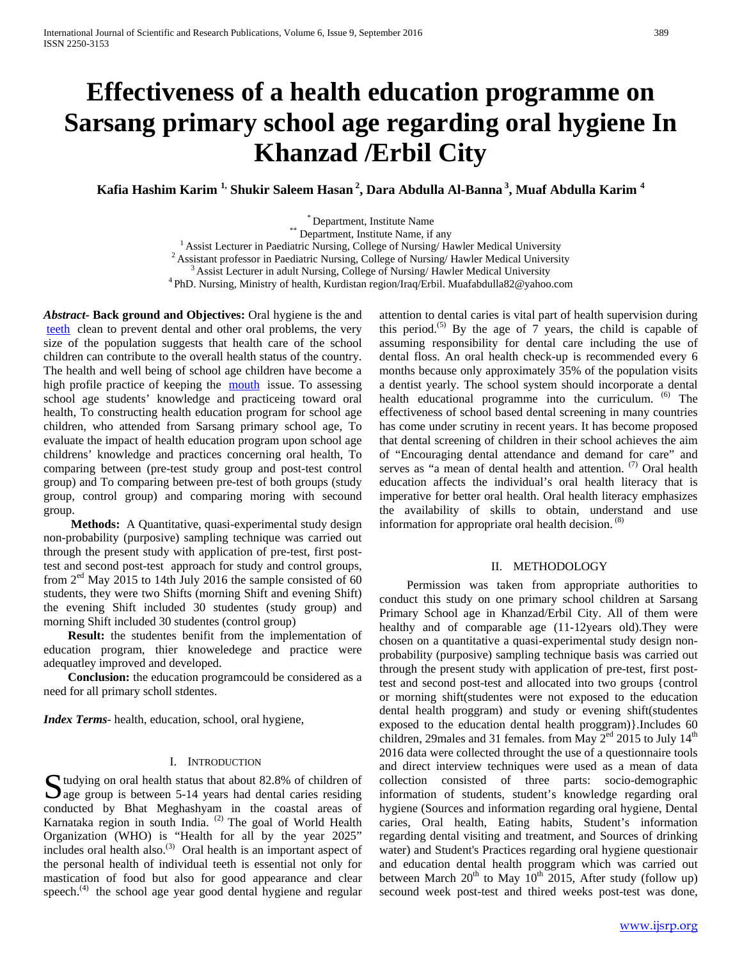# **Effectiveness of a health education programme on Sarsang primary school age regarding oral hygiene In Khanzad /Erbil City**

**Kafia Hashim Karim 1, Shukir Saleem Hasan <sup>2</sup> , Dara Abdulla Al-Banna <sup>3</sup> , Muaf Abdulla Karim <sup>4</sup>**

\* Department, Institute Name<br>
\* Department, Institute Name, if any<br>  $^{1}$  Assist Lecturer in Paediatric Nursing, College of Nursing/ Hawler Medical University<br>  $^{2}$  Assistant professor in Paediatric Nursing, College of N

*Abstract***- Back ground and Objectives:** Oral hygiene is the and [teeth](http://en.wikipedia.org/wiki/Human_teeth) clean to prevent dental and other oral problems, the very size of the population suggests that health care of the school children can contribute to the overall health status of the country. The health and well being of school age children have become a high profile practice of keeping the [mouth](http://en.wikipedia.org/wiki/Human_oral_cavity) issue. To assessing school age students' knowledge and practiceing toward oral health, To constructing health education program for school age children, who attended from Sarsang primary school age, To evaluate the impact of health education program upon school age childrens' knowledge and practices concerning oral health, To comparing between (pre-test study group and post-test control group) and To comparing between pre-test of both groups (study group, control group) and comparing moring with secound group.

 **Methods:** A Quantitative, quasi-experimental study design non-probability (purposive) sampling technique was carried out through the present study with application of pre-test, first posttest and second post-test approach for study and control groups, from  $2<sup>ed</sup>$  May 2015 to 14th July 2016 the sample consisted of 60 students, they were two Shifts (morning Shift and evening Shift) the evening Shift included 30 studentes (study group) and morning Shift included 30 studentes (control group)

 **Result:** the studentes benifit from the implementation of education program, thier knoweledege and practice were adequatley improved and developed.

 **Conclusion:** the education programcould be considered as a need for all primary scholl stdentes.

*Index Terms*- health, education, school, oral hygiene,

## I. INTRODUCTION

Sudying on oral health status that about 82.8% of children of age group is between 5-14 years had dental caries residing  $\Box$  age group is between 5-14 years had dental caries residing conducted by Bhat Meghashyam in the coastal areas of Karnataka region in south India. <sup>(2)</sup> The goal of World Health Organization (WHO) is "Health for all by the year 2025" includes oral health also.<sup>(3)</sup> Oral health is an important aspect of the personal health of individual teeth is essential not only for mastication of food but also for good appearance and clear speech.<sup>(4)</sup> the school age year good dental hygiene and regular attention to dental caries is vital part of health supervision during this period.<sup>(5)</sup> By the age of  $7$  years, the child is capable of assuming responsibility for dental care including the use of dental floss. An oral health check-up is recommended every 6 months because only approximately 35% of the population visits a dentist yearly. The school system should incorporate a dental health educational programme into the curriculum. <sup>(6)</sup> The effectiveness of school based dental screening in many countries has come under scrutiny in recent years. It has become proposed that dental screening of children in their school achieves the aim of "Encouraging dental attendance and demand for care" and serves as "a mean of dental health and attention. <sup>(7)</sup> Oral health education affects the individual's oral health literacy that is imperative for better oral health. Oral health literacy emphasizes the availability of skills to obtain, understand and use information for appropriate oral health decision.<sup>(8)</sup>

## II. METHODOLOGY

 Permission was taken from appropriate authorities to conduct this study on one primary school children at Sarsang Primary School age in Khanzad/Erbil City. All of them were healthy and of comparable age (11-12years old).They were chosen on a quantitative a quasi-experimental study design nonprobability (purposive) sampling technique basis was carried out through the present study with application of pre-test, first posttest and second post-test and allocated into two groups {control or morning shift(studentes were not exposed to the education dental health proggram) and study or evening shift(studentes exposed to the education dental health proggram)}.Includes 60 children, 29males and 31 females. from May 2<sup>ed</sup> 2015 to July 14<sup>th</sup> 2016 data were collected throught the use of a questionnaire tools and direct interview techniques were used as a mean of data collection consisted of three parts: socio-demographic information of students, student's knowledge regarding oral hygiene (Sources and information regarding oral hygiene, Dental caries, Oral health, Eating habits, Student's information regarding dental visiting and treatment, and Sources of drinking water) and Student's Practices regarding oral hygiene questionair and education dental health proggram which was carried out between March  $20<sup>th</sup>$  to May  $10<sup>th</sup>$  2015, After study (follow up) secound week post-test and thired weeks post-test was done,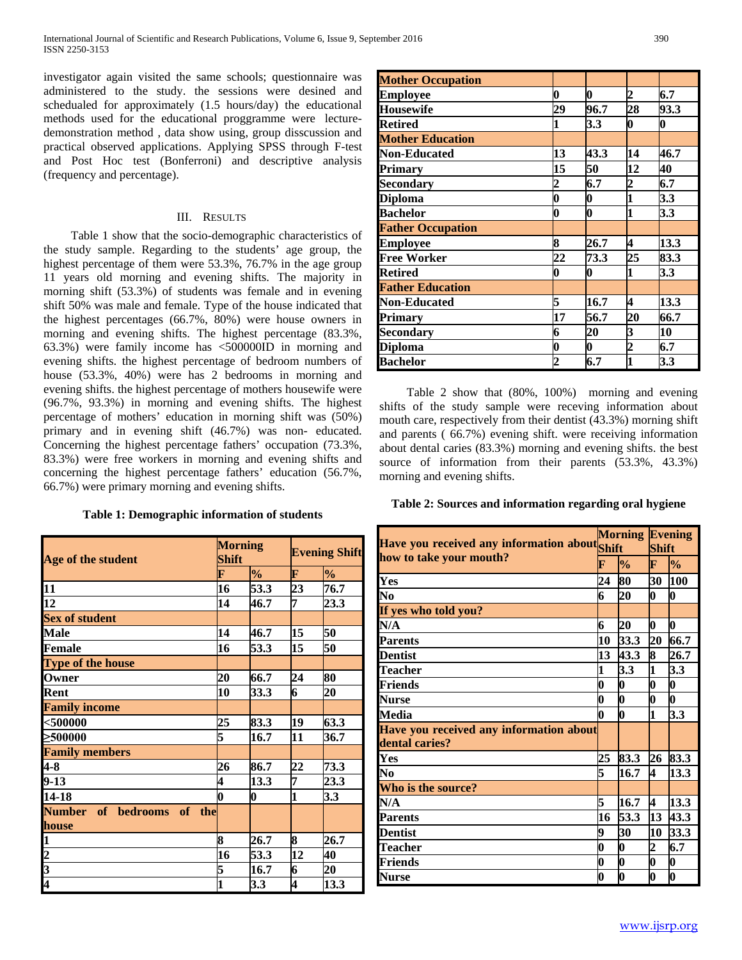investigator again visited the same schools; questionnaire was administered to the study. the sessions were desined and schedualed for approximately (1.5 hours/day) the educational methods used for the educational proggramme were lecturedemonstration method , data show using, group disscussion and practical observed applications. Applying SPSS through F-test and Post Hoc test (Bonferroni) and descriptive analysis (frequency and percentage).

# III. RESULTS

 Table 1 show that the socio-demographic characteristics of the study sample. Regarding to the students' age group, the highest percentage of them were 53.3%, 76.7% in the age group 11 years old morning and evening shifts. The majority in morning shift (53.3%) of students was female and in evening shift 50% was male and female. Type of the house indicated that the highest percentages (66.7%, 80%) were house owners in morning and evening shifts. The highest percentage (83.3%, 63.3%) were family income has <500000ID in morning and evening shifts. the highest percentage of bedroom numbers of house (53.3%, 40%) were has 2 bedrooms in morning and evening shifts. the highest percentage of mothers housewife were (96.7%, 93.3%) in morning and evening shifts. The highest percentage of mothers' education in morning shift was (50%) primary and in evening shift (46.7%) was non- educated. Concerning the highest percentage fathers' occupation (73.3%, 83.3%) were free workers in morning and evening shifts and concerning the highest percentage fathers' education (56.7%, 66.7%) were primary morning and evening shifts.

## **Table 1: Demographic information of students**

| Age of the student                 | <b>Morning</b><br><b>Shift</b> |               | <b>Evening Shift</b> |               |
|------------------------------------|--------------------------------|---------------|----------------------|---------------|
| F                                  |                                | $\frac{0}{0}$ | F                    | $\frac{1}{2}$ |
|                                    | 16                             | 53.3          | 23                   | 76.7          |
| $\frac{11}{12}$                    | 14                             | 46.7          | 7                    | 23.3          |
| <b>Sex of student</b>              |                                |               |                      |               |
| Male                               | 14                             | 46.7          | 15                   | 50            |
| <b>Female</b>                      | 16                             | 53.3          | 15                   | 50            |
| <b>Type of the house</b>           |                                |               |                      |               |
| Owner                              | 20                             | 66.7          | 24                   | 80            |
| Rent                               | 10                             | 33.3          | 6                    | 20            |
| <b>Family income</b>               |                                |               |                      |               |
| $500000$                           | 25                             | 83.3          | 19                   | 63.3          |
| ≥500000                            | 5                              | 16.7          | 11                   | 36.7          |
| <b>Family members</b>              |                                |               |                      |               |
| $\mu$ -8                           | 26                             | 86.7          | 22                   | 73.3          |
| $9 - 13$                           | 4                              | 13.3          | 7                    | 23.3          |
| 14-18                              | 0                              | 0             | 1                    | 3.3           |
| Number of bedrooms of the<br>house |                                |               |                      |               |
|                                    | 8                              | 26.7          | 8                    | 26.7          |
|                                    | 16                             | 53.3          | 12                   | 40            |
|                                    | 5                              | 16.7          | 6                    | 20            |
| $\frac{1}{2}$ $\frac{3}{4}$        | 1                              | 3.3           | 4                    | 13.3          |

| <b>Mother Occupation</b> |                         |                  |                  |                  |
|--------------------------|-------------------------|------------------|------------------|------------------|
| <b>Employee</b>          | 0                       | 0                | 2                | 6.7              |
| <b>Housewife</b>         | 29                      | 96.7             | 28               | 93.3             |
| <b>Retired</b>           | 1                       | 3.3              | $\boldsymbol{0}$ | $\boldsymbol{0}$ |
| <b>Mother Education</b>  |                         |                  |                  |                  |
| <b>Non-Educated</b>      | 13                      | 43.3             | 14               | 46.7             |
| <b>Primary</b>           | 15                      | 50               | 12               | 40               |
| <b>Secondary</b>         | $\overline{\mathbf{c}}$ | 6.7              | 2                | 6.7              |
| <b>Diploma</b>           | $\boldsymbol{0}$        | $\boldsymbol{0}$ |                  | 3.3              |
| <b>Bachelor</b>          | $\boldsymbol{0}$        | $\boldsymbol{0}$ | 1                | 3.3              |
| <b>Father Occupation</b> |                         |                  |                  |                  |
| <b>Employee</b>          | 8                       | 26.7             | 4                | 13.3             |
| <b>Free Worker</b>       | 22                      | 73.3             | 25               | 83.3             |
| <b>Retired</b>           | 0                       | 0                | 1                | 3.3              |
| <b>Father Education</b>  |                         |                  |                  |                  |
| <b>Non-Educated</b>      | 5                       | 16.7             | 4                | 13.3             |
| Primary                  | 17                      | 56.7             | 20               | 66.7             |
| <b>Secondary</b>         | 6                       | 20               | 3                | 10               |
| Diploma                  | 0                       | 0                | $\overline{2}$   | 6.7              |
| <b>Bachelor</b>          | 2                       | 6.7              | 1                | 3.3              |

 Table 2 show that (80%, 100%) morning and evening shifts of the study sample were receving information about mouth care, respectively from their dentist (43.3%) morning shift and parents ( 66.7%) evening shift. were receiving information about dental caries (83.3%) morning and evening shifts. the best source of information from their parents (53.3%, 43.3%) morning and evening shifts.

# **Table 2: Sources and information regarding oral hygiene**

| Have you received any information about Shift |                  |                  | <b>Morning Evening</b> |                  |  |
|-----------------------------------------------|------------------|------------------|------------------------|------------------|--|
|                                               |                  |                  | <b>Shift</b>           |                  |  |
| how to take your mouth?<br>F                  |                  | $\frac{0}{0}$    | $\mathbf F$            | $\frac{0}{0}$    |  |
| Yes                                           | 24               | 80               | 30                     | 100              |  |
| No                                            | 6                | 20               | O                      | 0                |  |
| If yes who told you?                          |                  |                  |                        |                  |  |
| N/A                                           | 6                | 20               | 0                      | $\bf{0}$         |  |
| <b>Parents</b>                                | 10               | 33.3             | 20                     | 66.7             |  |
| <b>Dentist</b>                                | 13               | 43.3             | 8                      | 26.7             |  |
| Teacher                                       | 1                | 3.3              | 1                      | 3.3              |  |
| <b>Friends</b>                                | 0                | 0                | 0                      | $\boldsymbol{0}$ |  |
| <b>Nurse</b>                                  | 0                | $\boldsymbol{0}$ | O                      | O                |  |
| <b>Media</b>                                  | 0                | $\bf{0}$         | $\mathbf{1}$           | 3.3              |  |
| Have you received any information about       |                  |                  |                        |                  |  |
| dental caries?                                |                  |                  |                        |                  |  |
| Yes                                           | 25               | 83.3             | 26                     | 83.3             |  |
| No                                            | 5                | 16.7             | 4                      | 13.3             |  |
| Who is the source?                            |                  |                  |                        |                  |  |
| N/A                                           | 5                | 16.7             | 4                      | 13.3             |  |
| <b>Parents</b>                                | 16               | 53.3             | 13                     | 43.3             |  |
| <b>Dentist</b>                                | 9                | 30               | 10                     | 33.3             |  |
| <b>Teacher</b>                                | $\boldsymbol{0}$ | $\bf{0}$         | 2                      | 6.7              |  |
| Friends                                       | 0                | $\bf{0}$         | O                      | 0                |  |
| <b>Nurse</b>                                  | 0                | $\mathbf{0}$     | 0                      | 0                |  |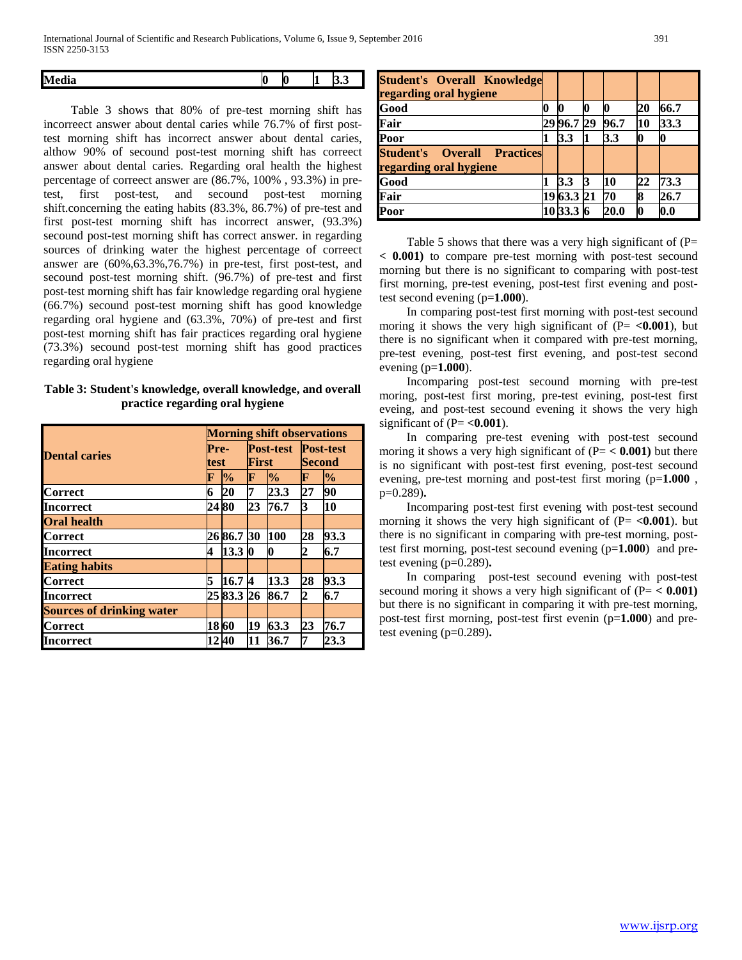| - -<br>M<br>dia | 10 | ĸ |  |
|-----------------|----|---|--|
|                 |    |   |  |

 Table 3 shows that 80% of pre-test morning shift has incorreect answer about dental caries while 76.7% of first posttest morning shift has incorrect answer about dental caries, althow 90% of secound post-test morning shift has correect answer about dental caries. Regarding oral health the highest percentage of correect answer are (86.7%, 100% , 93.3%) in pretest, first post-test, and secound post-test morning shift.concerning the eating habits (83.3%, 86.7%) of pre-test and first post-test morning shift has incorrect answer, (93.3%) secound post-test morning shift has correct answer. in regarding sources of drinking water the highest percentage of correect answer are (60%,63.3%,76.7%) in pre-test, first post-test, and secound post-test morning shift. (96.7%) of pre-test and first post-test morning shift has fair knowledge regarding oral hygiene (66.7%) secound post-test morning shift has good knowledge regarding oral hygiene and (63.3%, 70%) of pre-test and first post-test morning shift has fair practices regarding oral hygiene (73.3%) secound post-test morning shift has good practices regarding oral hygiene

# **Table 3: Student's knowledge, overall knowledge, and overall practice regarding oral hygiene**

|                                  |              | <b>Morning shift observations</b> |                           |               |                            |               |  |  |
|----------------------------------|--------------|-----------------------------------|---------------------------|---------------|----------------------------|---------------|--|--|
| <b>Dental caries</b>             | Pre-<br>test |                                   | <b>Post-test</b><br>First |               | <b>Post-test</b><br>Second |               |  |  |
|                                  |              | $\frac{1}{2}$                     | F                         | $\frac{1}{2}$ | F                          | $\frac{1}{2}$ |  |  |
| <b>Correct</b>                   | 6            | 20                                | 7                         | 23.3          | 27                         | 90            |  |  |
| Incorrect                        | 24 80        |                                   | 23                        | 76.7          | 3                          | 10            |  |  |
| <b>Oral health</b>               |              |                                   |                           |               |                            |               |  |  |
| <b>Correct</b>                   |              | 26 86.7 30                        |                           | 100           | 28                         | 93.3          |  |  |
| Incorrect                        | 4            | 13.30                             |                           | 0             | 2                          | 6.7           |  |  |
| <b>Eating habits</b>             |              |                                   |                           |               |                            |               |  |  |
| <b>Correct</b>                   | 5            | 16.74                             |                           | 13.3          | 28                         | 93.3          |  |  |
| Incorrect                        |              | 25 83.3 26                        |                           | 86.7          | 2                          | 6.7           |  |  |
| <b>Sources of drinking water</b> |              |                                   |                           |               |                            |               |  |  |
| Correct                          | 18 60        |                                   | 19                        | 63.3          | 23                         | 76.7          |  |  |
| Incorrect                        | 12 40        |                                   | 11                        | 36.7          | 7                          | 23.3          |  |  |

| <b>Student's Overall Knowledge</b><br>regarding oral hygiene |            |    |      |    |            |
|--------------------------------------------------------------|------------|----|------|----|------------|
| Good                                                         | 0          | 0  |      | 20 | 66.7       |
| Fair                                                         | 29 96.7 29 |    | 96.7 | 10 | 33.3       |
| Poor                                                         | 3.3        | 1  | 3.3  |    |            |
| <b>Student's Overall Practices</b><br>regarding oral hygiene |            |    |      |    |            |
| Good                                                         | 3.3        | 13 | 10   | 22 | 73.3       |
| Fair                                                         | 19 63.3 21 |    | 70   | 8  | 26.7       |
| Poor                                                         | 10 33.3    |    | 20.0 | Ю  | $\bf{0.0}$ |

Table 5 shows that there was a very high significant of  $(P=$ **< 0.001)** to compare pre-test morning with post-test secound morning but there is no significant to comparing with post-test first morning, pre-test evening, post-test first evening and posttest second evening (p=**1.000**).

 In comparing post-test first morning with post-test secound moring it shows the very high significant of  $(P = <0.001)$ , but there is no significant when it compared with pre-test morning, pre-test evening, post-test first evening, and post-test second evening (p=**1.000**).

 Incomparing post-test secound morning with pre-test moring, post-test first moring, pre-test evining, post-test first eveing, and post-test secound evening it shows the very high significant of  $(P = **0.001**)$ .

 In comparing pre-test evening with post-test secound moring it shows a very high significant of  $(P = < 0.001)$  but there is no significant with post-test first evening, post-test secound evening, pre-test morning and post-test first moring (p=**1.000** , p=0.289)**.** 

 Incomparing post-test first evening with post-test secound morning it shows the very high significant of  $(P = < 0.001)$ . but there is no significant in comparing with pre-test morning, posttest first morning, post-test secound evening (p=**1.000**) and pretest evening (p=0.289)**.**

 In comparing post-test secound evening with post-test secound moring it shows a very high significant of (P= **< 0.001)**  but there is no significant in comparing it with pre-test morning, post-test first morning, post-test first evenin (p=**1.000**) and pretest evening (p=0.289)**.**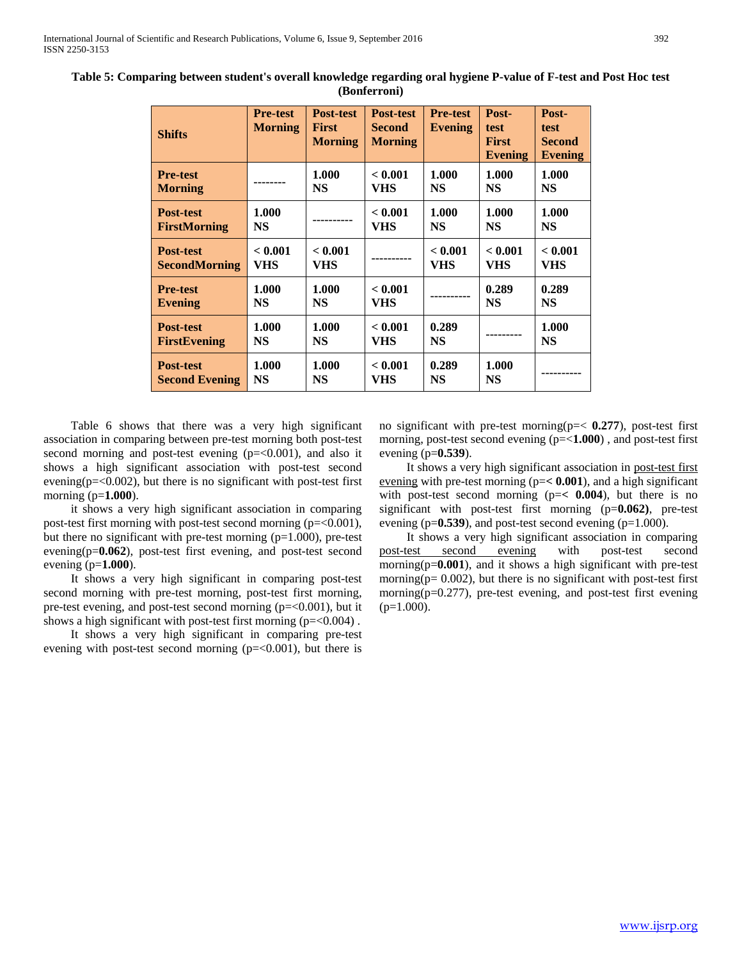| <b>Shifts</b>         | <b>Pre-test</b><br><b>Morning</b> | <b>Post-test</b><br><b>First</b><br><b>Morning</b> | <b>Post-test</b><br><b>Second</b><br><b>Morning</b> | <b>Pre-test</b><br>Evening | Post-<br>test<br><b>First</b><br><b>Evening</b> | Post-<br>test<br>Second<br><b>Evening</b> |
|-----------------------|-----------------------------------|----------------------------------------------------|-----------------------------------------------------|----------------------------|-------------------------------------------------|-------------------------------------------|
| <b>Pre-test</b>       |                                   | 1.000                                              | < 0.001                                             | 1.000                      | 1.000                                           | 1.000                                     |
| <b>Morning</b>        |                                   | <b>NS</b>                                          | VHS                                                 | <b>NS</b>                  | <b>NS</b>                                       | <b>NS</b>                                 |
| <b>Post-test</b>      | 1.000                             |                                                    | < 0.001                                             | 1.000                      | 1.000                                           | 1.000                                     |
| <b>FirstMorning</b>   | <b>NS</b>                         |                                                    | <b>VHS</b>                                          | <b>NS</b>                  | <b>NS</b>                                       | <b>NS</b>                                 |
| <b>Post-test</b>      | < 0.001                           | < 0.001                                            |                                                     | < 0.001                    | < 0.001                                         | < 0.001                                   |
| <b>SecondMorning</b>  | VHS                               | VHS                                                |                                                     | <b>VHS</b>                 | VHS                                             | <b>VHS</b>                                |
| <b>Pre-test</b>       | 1.000                             | 1.000                                              | < 0.001                                             |                            | 0.289                                           | 0.289                                     |
| <b>Evening</b>        | NS                                | <b>NS</b>                                          | VHS                                                 |                            | <b>NS</b>                                       | <b>NS</b>                                 |
| <b>Post-test</b>      | 1.000                             | 1.000                                              | < 0.001                                             | 0.289                      |                                                 | 1.000                                     |
| <b>FirstEvening</b>   | <b>NS</b>                         | <b>NS</b>                                          | VHS                                                 | <b>NS</b>                  |                                                 | <b>NS</b>                                 |
| <b>Post-test</b>      | 1.000                             | 1.000                                              | < 0.001                                             | 0.289                      | 1.000                                           |                                           |
| <b>Second Evening</b> | <b>NS</b>                         | <b>NS</b>                                          | VHS                                                 | <b>NS</b>                  | <b>NS</b>                                       |                                           |

**Table 5: Comparing between student's overall knowledge regarding oral hygiene P-value of F-test and Post Hoc test (Bonferroni)**

 Table 6 shows that there was a very high significant association in comparing between pre-test morning both post-test second morning and post-test evening  $(p=<0.001)$ , and also it shows a high significant association with post-test second evening( $p = 0.002$ ), but there is no significant with post-test first morning (p=**1.000**).

 it shows a very high significant association in comparing post-test first morning with post-test second morning  $(p=<0.001)$ , but there no significant with pre-test morning  $(p=1.000)$ , pre-test evening(p=**0.062**), post-test first evening, and post-test second evening (p=**1.000**).

 It shows a very high significant in comparing post-test second morning with pre-test morning, post-test first morning, pre-test evening, and post-test second morning (p=<0.001), but it shows a high significant with post-test first morning  $(p=<0.004)$ .

 It shows a very high significant in comparing pre-test evening with post-test second morning  $(p=<0.001)$ , but there is no significant with pre-test morning(p=< **0.277**), post-test first morning, post-test second evening (p=<**1.000**) , and post-test first evening (p=**0.539**).

 It shows a very high significant association in post-test first evening with pre-test morning (p=**< 0.001**), and a high significant with post-test second morning (p=**< 0.004**), but there is no significant with post-test first morning (p=**0.062)**, pre-test evening (p=0.539), and post-test second evening (p=1.000).

 It shows a very high significant association in comparing post-test second evening with post-test second morning(p=**0.001**), and it shows a high significant with pre-test morning( $p= 0.002$ ), but there is no significant with post-test first morning(p=0.277), pre-test evening, and post-test first evening  $(p=1.000)$ .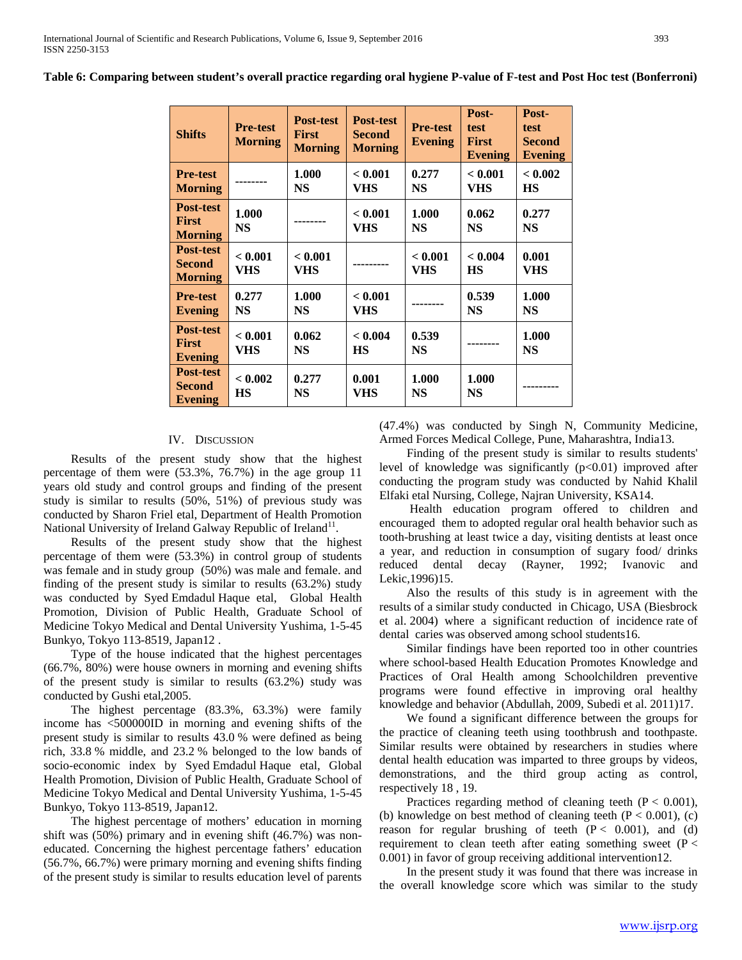| <b>Shifts</b>                                | <b>Pre-test</b><br><b>Morning</b> | Post-test<br><b>First</b><br><b>Morning</b> | <b>Post-test</b><br><b>Second</b><br><b>Morning</b> | <b>Pre-test</b><br>Evening | Post-<br>test<br><b>First</b><br><b>Evening</b> | Post-<br>test<br><b>Second</b><br><b>Evening</b> |
|----------------------------------------------|-----------------------------------|---------------------------------------------|-----------------------------------------------------|----------------------------|-------------------------------------------------|--------------------------------------------------|
| <b>Pre-test</b><br><b>Morning</b>            |                                   | 1.000<br><b>NS</b>                          | < 0.001<br>VHS                                      | 0.277<br><b>NS</b>         | < 0.001<br>VHS                                  | < 0.002<br><b>HS</b>                             |
| Post-test<br><b>First</b><br><b>Morning</b>  | 1.000<br><b>NS</b>                |                                             | < 0.001<br>VHS                                      | 1.000<br><b>NS</b>         | 0.062<br><b>NS</b>                              | 0.277<br><b>NS</b>                               |
| Post-test<br><b>Second</b><br><b>Morning</b> | < 0.001<br><b>VHS</b>             | < 0.001<br>VHS                              |                                                     | < 0.001<br>VHS             | < 0.004<br><b>HS</b>                            | 0.001<br>VHS                                     |
| <b>Pre-test</b><br><b>Evening</b>            | 0.277<br><b>NS</b>                | 1.000<br><b>NS</b>                          | < 0.001<br>VHS                                      |                            | 0.539<br><b>NS</b>                              | 1.000<br><b>NS</b>                               |
| Post-test<br><b>First</b><br><b>Evening</b>  | < 0.001<br><b>VHS</b>             | 0.062<br><b>NS</b>                          | < 0.004<br><b>HS</b>                                | 0.539<br><b>NS</b>         |                                                 | 1.000<br><b>NS</b>                               |
| Post-test<br><b>Second</b><br>Evening        | < 0.002<br><b>HS</b>              | 0.277<br><b>NS</b>                          | 0.001<br>VHS                                        | 1.000<br><b>NS</b>         | 1.000<br><b>NS</b>                              |                                                  |

**Table 6: Comparing between student's overall practice regarding oral hygiene P-value of F-test and Post Hoc test (Bonferroni)**

## IV. DISCUSSION

 Results of the present study show that the highest percentage of them were (53.3%, 76.7%) in the age group 11 years old study and control groups and finding of the present study is similar to results (50%, 51%) of previous study was conducted by Sharon Friel etal, Department of Health Promotion National University of Ireland Galway Republic of Ireland<sup>11</sup>.

 Results of the present study show that the highest percentage of them were (53.3%) in control group of students was female and in study group (50%) was male and female. and finding of the present study is similar to results (63.2%) study was conducted by Syed Emdadul Haque etal, Global Health Promotion, Division of Public Health, Graduate School of Medicine Tokyo Medical and Dental University Yushima, 1-5-45 Bunkyo, Tokyo 113-8519, Japan12 .

 Type of the house indicated that the highest percentages (66.7%, 80%) were house owners in morning and evening shifts of the present study is similar to results (63.2%) study was conducted by Gushi etal,2005.

 The highest percentage (83.3%, 63.3%) were family income has <500000ID in morning and evening shifts of the present study is similar to results 43.0 % were defined as being rich, 33.8 % middle, and 23.2 % belonged to the low bands of socio-economic index by Syed Emdadul Haque etal, Global Health Promotion, Division of Public Health, Graduate School of Medicine Tokyo Medical and Dental University Yushima, 1-5-45 Bunkyo, Tokyo 113-8519, Japan12.

 The highest percentage of mothers' education in morning shift was (50%) primary and in evening shift (46.7%) was noneducated. Concerning the highest percentage fathers' education (56.7%, 66.7%) were primary morning and evening shifts finding of the present study is similar to results education level of parents

(47.4%) was conducted by Singh N, Community Medicine, Armed Forces Medical College, Pune, Maharashtra, India13.

 Finding of the present study is similar to results students' level of knowledge was significantly  $(p<0.01)$  improved after conducting the program study was conducted by Nahid Khalil Elfaki etal Nursing, College, Najran University, KSA14.

 Health education program offered to children and encouraged them to adopted regular oral health behavior such as tooth-brushing at least twice a day, visiting dentists at least once a year, and reduction in consumption of sugary food/ drinks reduced dental decay (Rayner, 1992; Ivanovic and Lekic,1996)15.

 Also the results of this study is in agreement with the results of a similar study conducted in Chicago, USA (Biesbrock et al. 2004) where a significant reduction of incidence rate of dental caries was observed among school students16.

 Similar findings have been reported too in other countries where school-based Health Education Promotes Knowledge and Practices of Oral Health among Schoolchildren preventive programs were found effective in improving oral healthy knowledge and behavior (Abdullah, 2009, Subedi et al. 2011)17.

 We found a significant difference between the groups for the practice of cleaning teeth using toothbrush and toothpaste. Similar results were obtained by researchers in studies where dental health education was imparted to three groups by videos, demonstrations, and the third group acting as control, respectively 18 , 19.

Practices regarding method of cleaning teeth  $(P < 0.001)$ , (b) knowledge on best method of cleaning teeth  $(P < 0.001)$ , (c) reason for regular brushing of teeth  $(P < 0.001)$ , and (d) requirement to clean teeth after eating something sweet ( $P <$ 0.001) in favor of group receiving additional intervention12.

 In the present study it was found that there was increase in the overall knowledge score which was similar to the study